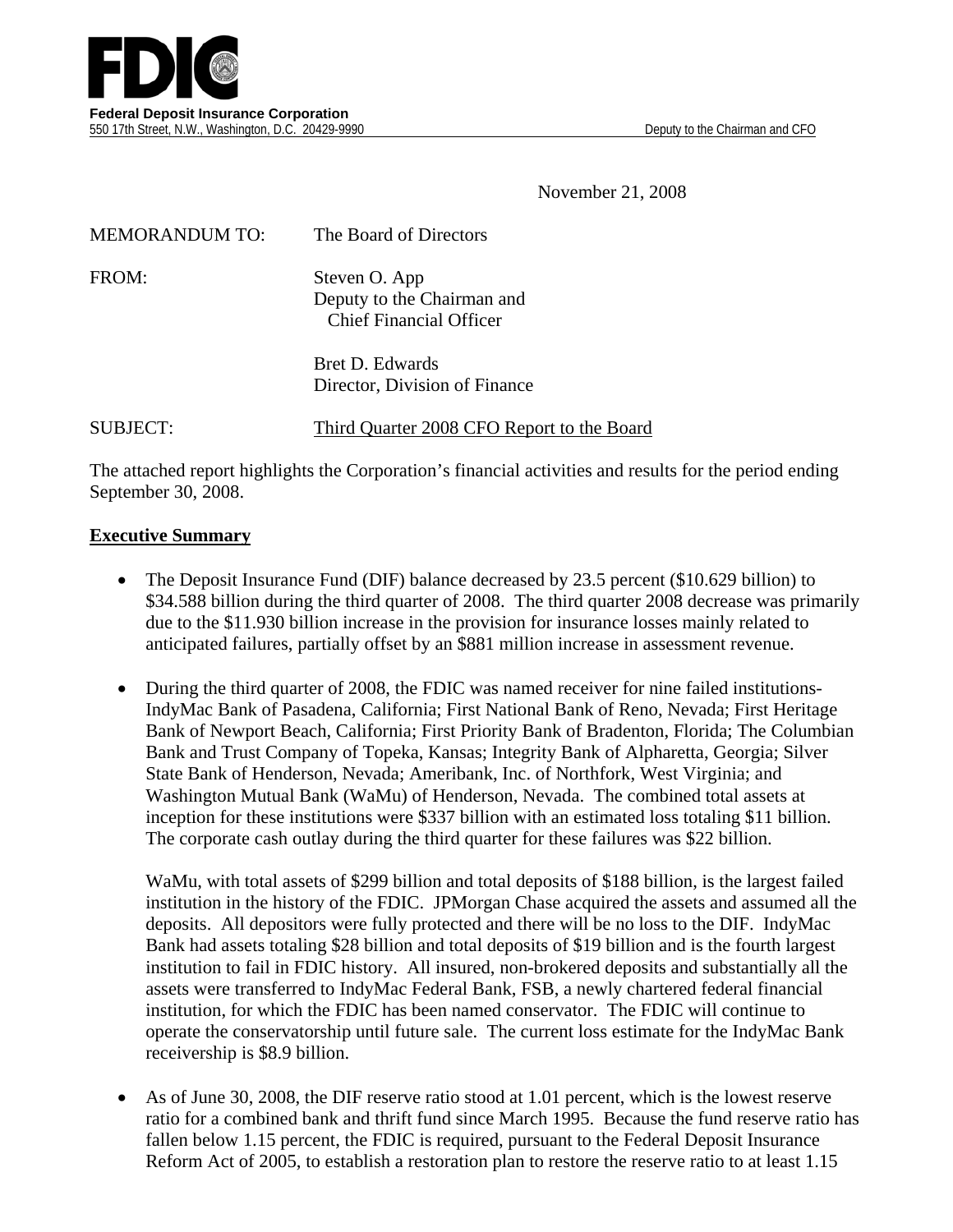November 21, 2008

| <b>MEMORANDUM TO:</b> | The Board of Directors                                                        |
|-----------------------|-------------------------------------------------------------------------------|
| FROM:                 | Steven O. App<br>Deputy to the Chairman and<br><b>Chief Financial Officer</b> |
|                       | Bret D. Edwards<br>Director, Division of Finance                              |

SUBJECT: Third Quarter 2008 CFO Report to the Board

The attached report highlights the Corporation's financial activities and results for the period ending September 30, 2008.

#### **Executive Summary**

- The Deposit Insurance Fund (DIF) balance decreased by 23.5 percent (\$10.629 billion) to \$34.588 billion during the third quarter of 2008. The third quarter 2008 decrease was primarily due to the \$11.930 billion increase in the provision for insurance losses mainly related to anticipated failures, partially offset by an \$881 million increase in assessment revenue.
- During the third quarter of 2008, the FDIC was named receiver for nine failed institutions-IndyMac Bank of Pasadena, California; First National Bank of Reno, Nevada; First Heritage Bank of Newport Beach, California; First Priority Bank of Bradenton, Florida; The Columbian Bank and Trust Company of Topeka, Kansas; Integrity Bank of Alpharetta, Georgia; Silver State Bank of Henderson, Nevada; Ameribank, Inc. of Northfork, West Virginia; and Washington Mutual Bank (WaMu) of Henderson, Nevada. The combined total assets at inception for these institutions were \$337 billion with an estimated loss totaling \$11 billion. The corporate cash outlay during the third quarter for these failures was \$22 billion.

WaMu, with total assets of \$299 billion and total deposits of \$188 billion, is the largest failed institution in the history of the FDIC. JPMorgan Chase acquired the assets and assumed all the deposits. All depositors were fully protected and there will be no loss to the DIF. IndyMac Bank had assets totaling \$28 billion and total deposits of \$19 billion and is the fourth largest institution to fail in FDIC history. All insured, non-brokered deposits and substantially all the assets were transferred to IndyMac Federal Bank, FSB, a newly chartered federal financial institution, for which the FDIC has been named conservator. The FDIC will continue to operate the conservatorship until future sale. The current loss estimate for the IndyMac Bank receivership is \$8.9 billion.

• As of June 30, 2008, the DIF reserve ratio stood at 1.01 percent, which is the lowest reserve ratio for a combined bank and thrift fund since March 1995. Because the fund reserve ratio has fallen below 1.15 percent, the FDIC is required, pursuant to the Federal Deposit Insurance Reform Act of 2005, to establish a restoration plan to restore the reserve ratio to at least 1.15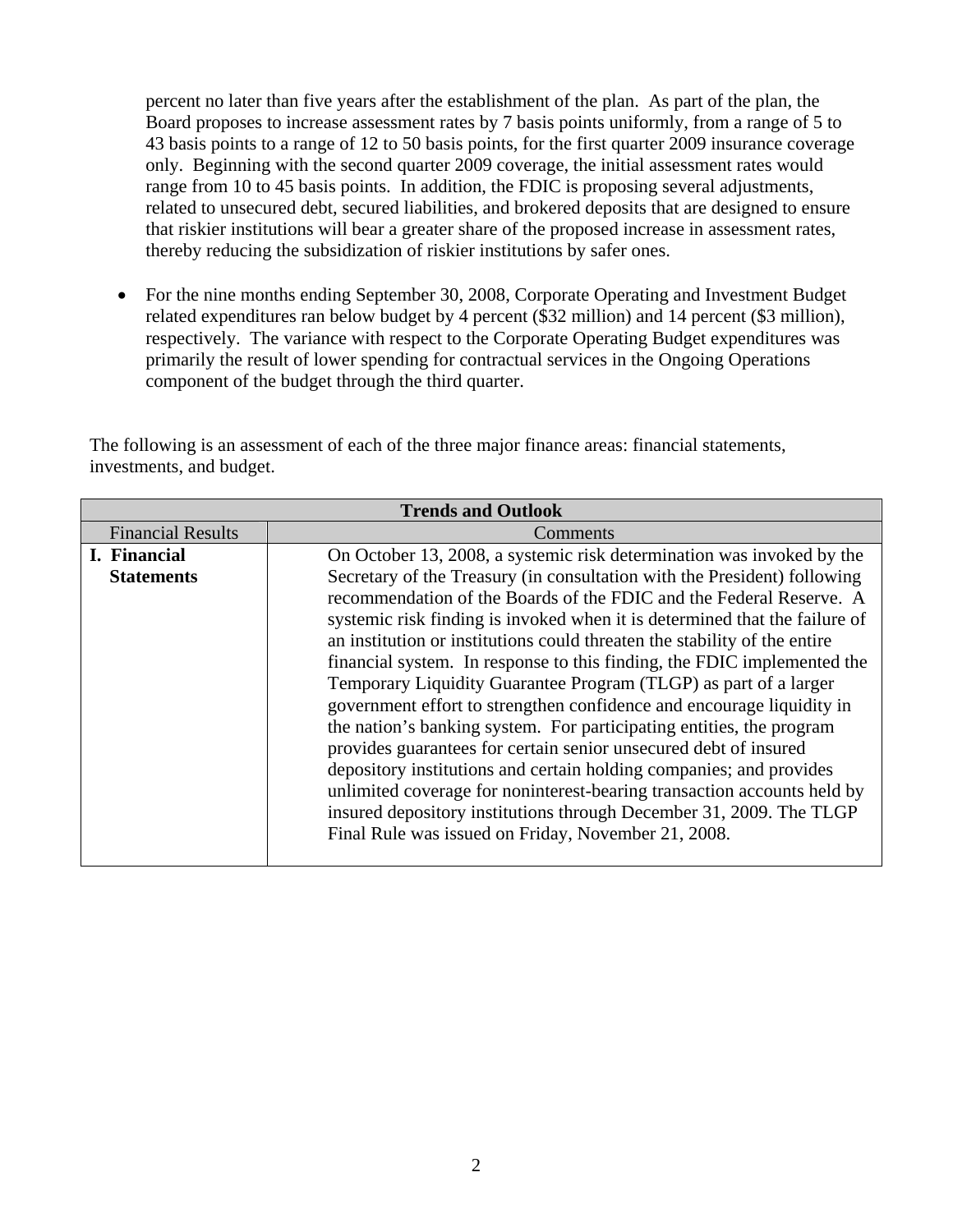percent no later than five years after the establishment of the plan. As part of the plan, the Board proposes to increase assessment rates by 7 basis points uniformly, from a range of 5 to 43 basis points to a range of 12 to 50 basis points, for the first quarter 2009 insurance coverage only. Beginning with the second quarter 2009 coverage, the initial assessment rates would range from 10 to 45 basis points. In addition, the FDIC is proposing several adjustments, related to unsecured debt, secured liabilities, and brokered deposits that are designed to ensure that riskier institutions will bear a greater share of the proposed increase in assessment rates, thereby reducing the subsidization of riskier institutions by safer ones.

• For the nine months ending September 30, 2008, Corporate Operating and Investment Budget related expenditures ran below budget by 4 percent (\$32 million) and 14 percent (\$3 million), respectively. The variance with respect to the Corporate Operating Budget expenditures was primarily the result of lower spending for contractual services in the Ongoing Operations component of the budget through the third quarter.

The following is an assessment of each of the three major finance areas: financial statements, investments, and budget.

| <b>Trends and Outlook</b> |                                                                            |  |  |  |  |  |  |  |  |  |
|---------------------------|----------------------------------------------------------------------------|--|--|--|--|--|--|--|--|--|
| <b>Financial Results</b>  | Comments                                                                   |  |  |  |  |  |  |  |  |  |
| I. Financial              | On October 13, 2008, a systemic risk determination was invoked by the      |  |  |  |  |  |  |  |  |  |
| <b>Statements</b>         | Secretary of the Treasury (in consultation with the President) following   |  |  |  |  |  |  |  |  |  |
|                           | recommendation of the Boards of the FDIC and the Federal Reserve. A        |  |  |  |  |  |  |  |  |  |
|                           | systemic risk finding is invoked when it is determined that the failure of |  |  |  |  |  |  |  |  |  |
|                           | an institution or institutions could threaten the stability of the entire  |  |  |  |  |  |  |  |  |  |
|                           | financial system. In response to this finding, the FDIC implemented the    |  |  |  |  |  |  |  |  |  |
|                           | Temporary Liquidity Guarantee Program (TLGP) as part of a larger           |  |  |  |  |  |  |  |  |  |
|                           | government effort to strengthen confidence and encourage liquidity in      |  |  |  |  |  |  |  |  |  |
|                           | the nation's banking system. For participating entities, the program       |  |  |  |  |  |  |  |  |  |
|                           | provides guarantees for certain senior unsecured debt of insured           |  |  |  |  |  |  |  |  |  |
|                           | depository institutions and certain holding companies; and provides        |  |  |  |  |  |  |  |  |  |
|                           | unlimited coverage for noninterest-bearing transaction accounts held by    |  |  |  |  |  |  |  |  |  |
|                           | insured depository institutions through December 31, 2009. The TLGP        |  |  |  |  |  |  |  |  |  |
|                           | Final Rule was issued on Friday, November 21, 2008.                        |  |  |  |  |  |  |  |  |  |
|                           |                                                                            |  |  |  |  |  |  |  |  |  |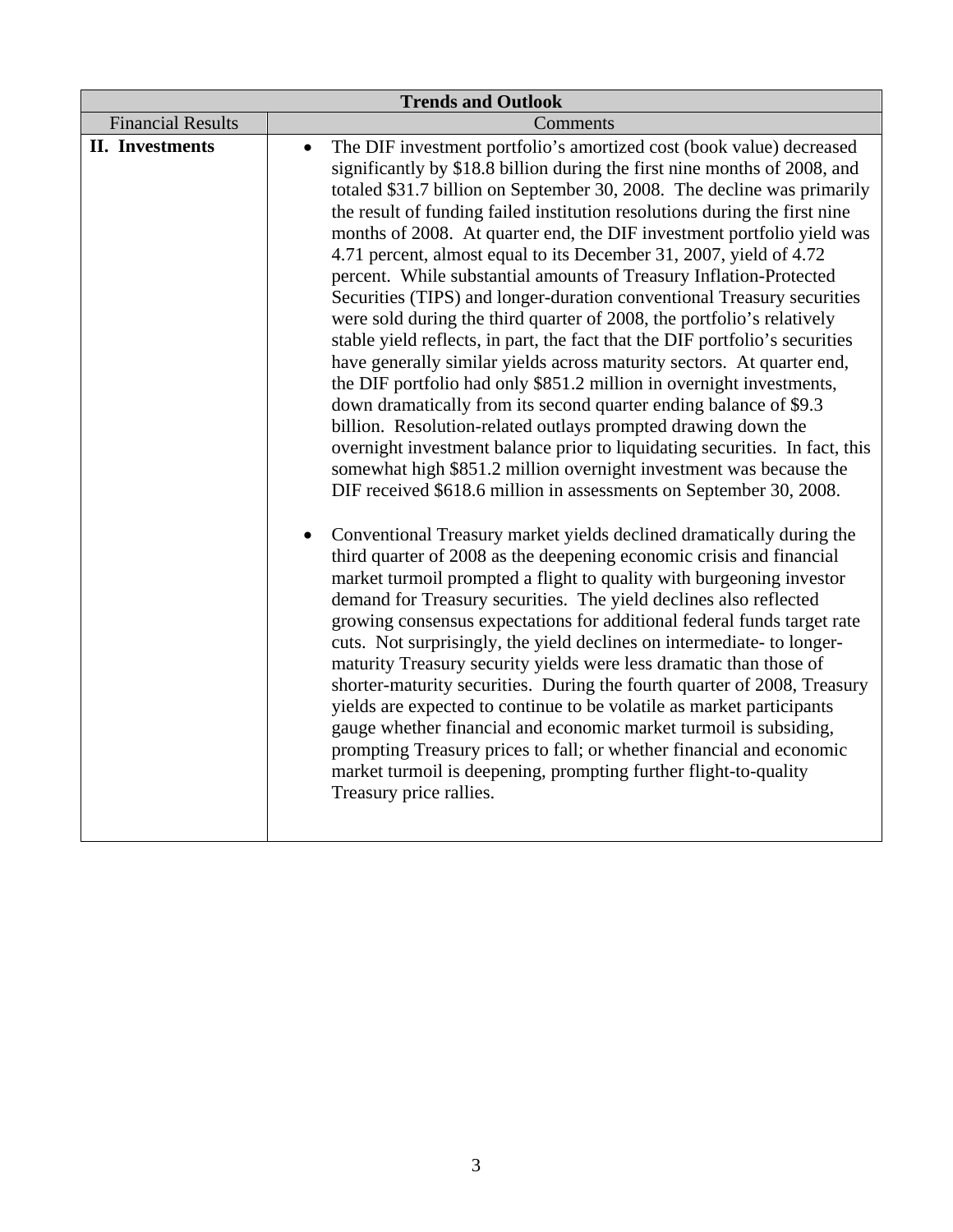|                          | <b>Trends and Outlook</b>                                                                                                                                                                                                                                                                                                                                                                                                                                                                                                                                                                                                                                                                                                                                                                                                                                                                                                                                                                                                                                                                                                                                                                                                                                                                                                                                                                                                                                                                                                                                                                                                                                                                                                                                                                                                                                                                                                                                                                                                                                                                                                                                                                                                     |
|--------------------------|-------------------------------------------------------------------------------------------------------------------------------------------------------------------------------------------------------------------------------------------------------------------------------------------------------------------------------------------------------------------------------------------------------------------------------------------------------------------------------------------------------------------------------------------------------------------------------------------------------------------------------------------------------------------------------------------------------------------------------------------------------------------------------------------------------------------------------------------------------------------------------------------------------------------------------------------------------------------------------------------------------------------------------------------------------------------------------------------------------------------------------------------------------------------------------------------------------------------------------------------------------------------------------------------------------------------------------------------------------------------------------------------------------------------------------------------------------------------------------------------------------------------------------------------------------------------------------------------------------------------------------------------------------------------------------------------------------------------------------------------------------------------------------------------------------------------------------------------------------------------------------------------------------------------------------------------------------------------------------------------------------------------------------------------------------------------------------------------------------------------------------------------------------------------------------------------------------------------------------|
| <b>Financial Results</b> | Comments                                                                                                                                                                                                                                                                                                                                                                                                                                                                                                                                                                                                                                                                                                                                                                                                                                                                                                                                                                                                                                                                                                                                                                                                                                                                                                                                                                                                                                                                                                                                                                                                                                                                                                                                                                                                                                                                                                                                                                                                                                                                                                                                                                                                                      |
| <b>II.</b> Investments   | The DIF investment portfolio's amortized cost (book value) decreased<br>$\bullet$<br>significantly by \$18.8 billion during the first nine months of 2008, and<br>totaled \$31.7 billion on September 30, 2008. The decline was primarily<br>the result of funding failed institution resolutions during the first nine<br>months of 2008. At quarter end, the DIF investment portfolio yield was<br>4.71 percent, almost equal to its December 31, 2007, yield of 4.72<br>percent. While substantial amounts of Treasury Inflation-Protected<br>Securities (TIPS) and longer-duration conventional Treasury securities<br>were sold during the third quarter of 2008, the portfolio's relatively<br>stable yield reflects, in part, the fact that the DIF portfolio's securities<br>have generally similar yields across maturity sectors. At quarter end,<br>the DIF portfolio had only \$851.2 million in overnight investments,<br>down dramatically from its second quarter ending balance of \$9.3<br>billion. Resolution-related outlays prompted drawing down the<br>overnight investment balance prior to liquidating securities. In fact, this<br>somewhat high \$851.2 million overnight investment was because the<br>DIF received \$618.6 million in assessments on September 30, 2008.<br>Conventional Treasury market yields declined dramatically during the<br>third quarter of 2008 as the deepening economic crisis and financial<br>market turmoil prompted a flight to quality with burgeoning investor<br>demand for Treasury securities. The yield declines also reflected<br>growing consensus expectations for additional federal funds target rate<br>cuts. Not surprisingly, the yield declines on intermediate- to longer-<br>maturity Treasury security yields were less dramatic than those of<br>shorter-maturity securities. During the fourth quarter of 2008, Treasury<br>yields are expected to continue to be volatile as market participants<br>gauge whether financial and economic market turmoil is subsiding,<br>prompting Treasury prices to fall; or whether financial and economic<br>market turmoil is deepening, prompting further flight-to-quality<br>Treasury price rallies. |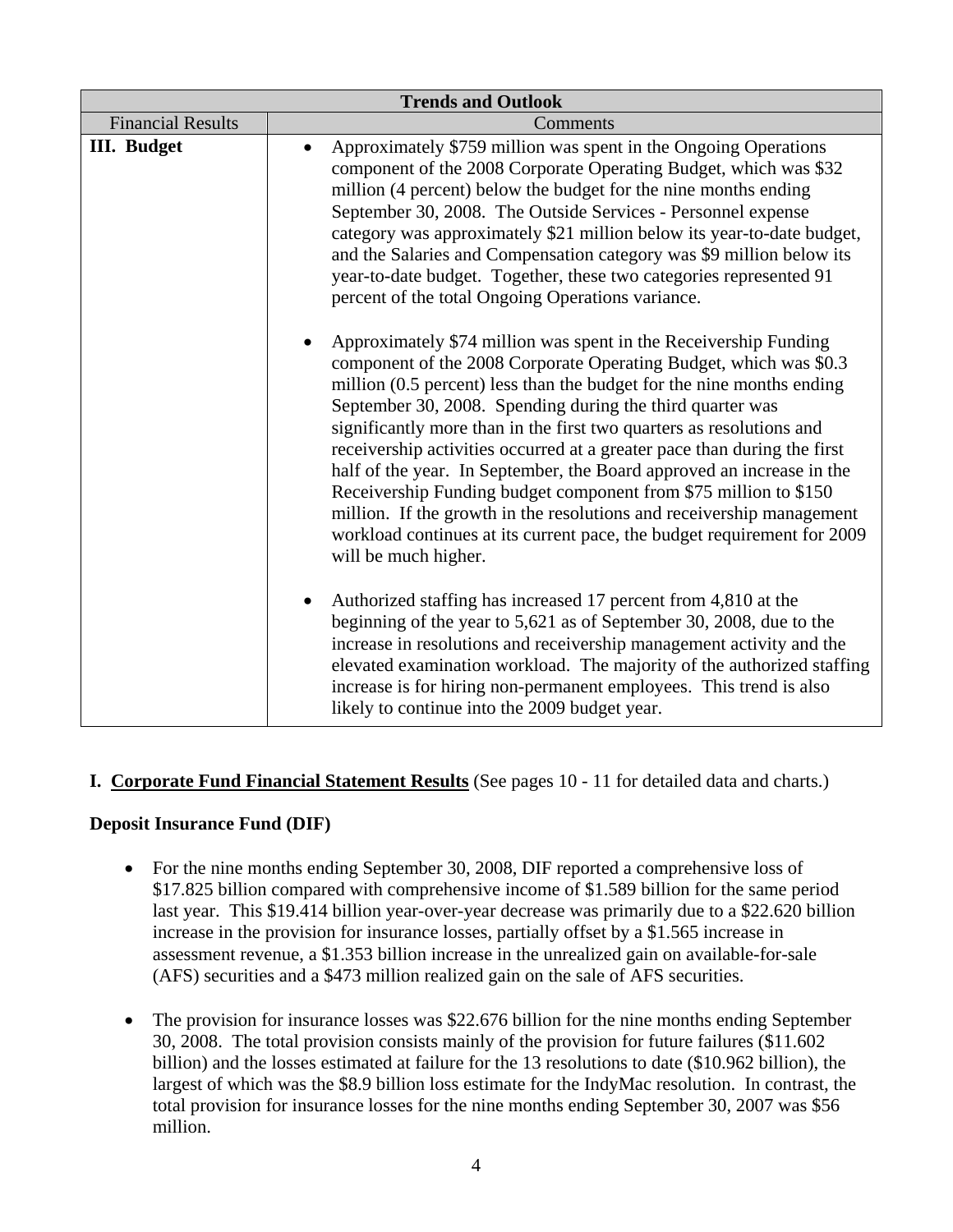| <b>Trends and Outlook</b> |                                                                                                                                                                                                                                                                                                                                                                                                                                                                                                                                                                                                                                                                                                                                                          |  |  |  |  |  |  |  |  |  |
|---------------------------|----------------------------------------------------------------------------------------------------------------------------------------------------------------------------------------------------------------------------------------------------------------------------------------------------------------------------------------------------------------------------------------------------------------------------------------------------------------------------------------------------------------------------------------------------------------------------------------------------------------------------------------------------------------------------------------------------------------------------------------------------------|--|--|--|--|--|--|--|--|--|
| <b>Financial Results</b>  | Comments                                                                                                                                                                                                                                                                                                                                                                                                                                                                                                                                                                                                                                                                                                                                                 |  |  |  |  |  |  |  |  |  |
| <b>III.</b> Budget        | Approximately \$759 million was spent in the Ongoing Operations<br>component of the 2008 Corporate Operating Budget, which was \$32<br>million (4 percent) below the budget for the nine months ending<br>September 30, 2008. The Outside Services - Personnel expense<br>category was approximately \$21 million below its year-to-date budget,<br>and the Salaries and Compensation category was \$9 million below its<br>year-to-date budget. Together, these two categories represented 91<br>percent of the total Ongoing Operations variance.                                                                                                                                                                                                      |  |  |  |  |  |  |  |  |  |
|                           | Approximately \$74 million was spent in the Receivership Funding<br>component of the 2008 Corporate Operating Budget, which was \$0.3<br>million (0.5 percent) less than the budget for the nine months ending<br>September 30, 2008. Spending during the third quarter was<br>significantly more than in the first two quarters as resolutions and<br>receivership activities occurred at a greater pace than during the first<br>half of the year. In September, the Board approved an increase in the<br>Receivership Funding budget component from \$75 million to \$150<br>million. If the growth in the resolutions and receivership management<br>workload continues at its current pace, the budget requirement for 2009<br>will be much higher. |  |  |  |  |  |  |  |  |  |
|                           | Authorized staffing has increased 17 percent from 4,810 at the<br>beginning of the year to 5,621 as of September 30, 2008, due to the<br>increase in resolutions and receivership management activity and the<br>elevated examination workload. The majority of the authorized staffing<br>increase is for hiring non-permanent employees. This trend is also<br>likely to continue into the 2009 budget year.                                                                                                                                                                                                                                                                                                                                           |  |  |  |  |  |  |  |  |  |

#### **I. Corporate Fund Financial Statement Results** (See pages 10 - 11 for detailed data and charts.)

#### **Deposit Insurance Fund (DIF)**

- For the nine months ending September 30, 2008, DIF reported a comprehensive loss of \$17.825 billion compared with comprehensive income of \$1.589 billion for the same period last year. This \$19.414 billion year-over-year decrease was primarily due to a \$22.620 billion increase in the provision for insurance losses, partially offset by a \$1.565 increase in assessment revenue, a \$1.353 billion increase in the unrealized gain on available-for-sale (AFS) securities and a \$473 million realized gain on the sale of AFS securities.
- The provision for insurance losses was \$22.676 billion for the nine months ending September 30, 2008. The total provision consists mainly of the provision for future failures (\$11.602 billion) and the losses estimated at failure for the 13 resolutions to date (\$10.962 billion), the largest of which was the \$8.9 billion loss estimate for the IndyMac resolution. In contrast, the total provision for insurance losses for the nine months ending September 30, 2007 was \$56 million.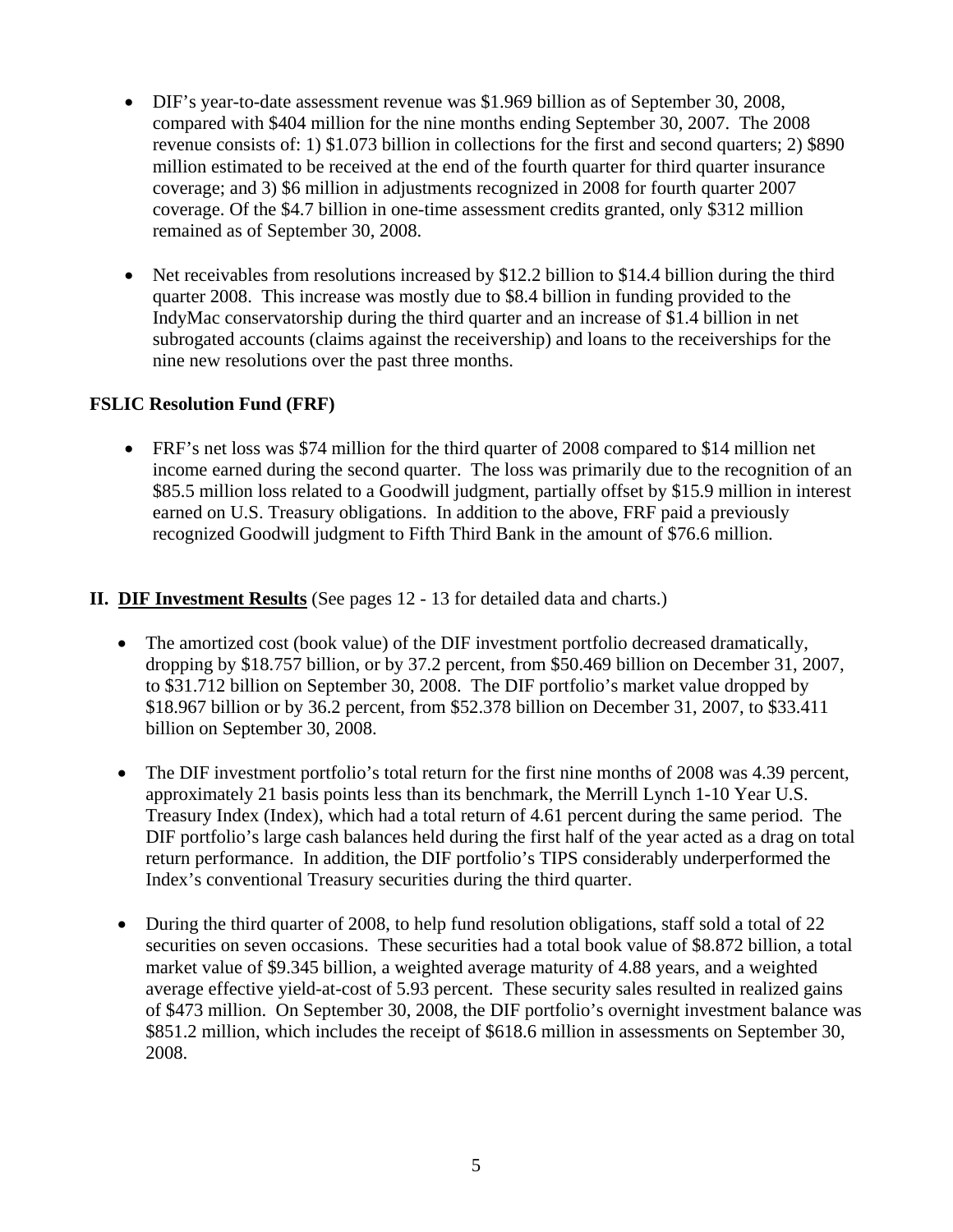- DIF's year-to-date assessment revenue was \$1.969 billion as of September 30, 2008, compared with \$404 million for the nine months ending September 30, 2007. The 2008 revenue consists of: 1) \$1.073 billion in collections for the first and second quarters; 2) \$890 million estimated to be received at the end of the fourth quarter for third quarter insurance coverage; and 3) \$6 million in adjustments recognized in 2008 for fourth quarter 2007 coverage. Of the \$4.7 billion in one-time assessment credits granted, only \$312 million remained as of September 30, 2008.
- Net receivables from resolutions increased by \$12.2 billion to \$14.4 billion during the third quarter 2008. This increase was mostly due to \$8.4 billion in funding provided to the IndyMac conservatorship during the third quarter and an increase of \$1.4 billion in net subrogated accounts (claims against the receivership) and loans to the receiverships for the nine new resolutions over the past three months.

#### **FSLIC Resolution Fund (FRF)**

• FRF's net loss was \$74 million for the third quarter of 2008 compared to \$14 million net income earned during the second quarter. The loss was primarily due to the recognition of an \$85.5 million loss related to a Goodwill judgment, partially offset by \$15.9 million in interest earned on U.S. Treasury obligations. In addition to the above, FRF paid a previously recognized Goodwill judgment to Fifth Third Bank in the amount of \$76.6 million.

### **II. DIF Investment Results** (See pages 12 - 13 for detailed data and charts.)

- The amortized cost (book value) of the DIF investment portfolio decreased dramatically, dropping by \$18.757 billion, or by 37.2 percent, from \$50.469 billion on December 31, 2007, to \$31.712 billion on September 30, 2008. The DIF portfolio's market value dropped by \$18.967 billion or by 36.2 percent, from \$52.378 billion on December 31, 2007, to \$33.411 billion on September 30, 2008.
- The DIF investment portfolio's total return for the first nine months of 2008 was 4.39 percent, approximately 21 basis points less than its benchmark, the Merrill Lynch 1-10 Year U.S. Treasury Index (Index), which had a total return of 4.61 percent during the same period. The DIF portfolio's large cash balances held during the first half of the year acted as a drag on total return performance. In addition, the DIF portfolio's TIPS considerably underperformed the Index's conventional Treasury securities during the third quarter.
- During the third quarter of 2008, to help fund resolution obligations, staff sold a total of 22 securities on seven occasions. These securities had a total book value of \$8.872 billion, a total market value of \$9.345 billion, a weighted average maturity of 4.88 years, and a weighted average effective yield-at-cost of 5.93 percent. These security sales resulted in realized gains of \$473 million. On September 30, 2008, the DIF portfolio's overnight investment balance was \$851.2 million, which includes the receipt of \$618.6 million in assessments on September 30, 2008.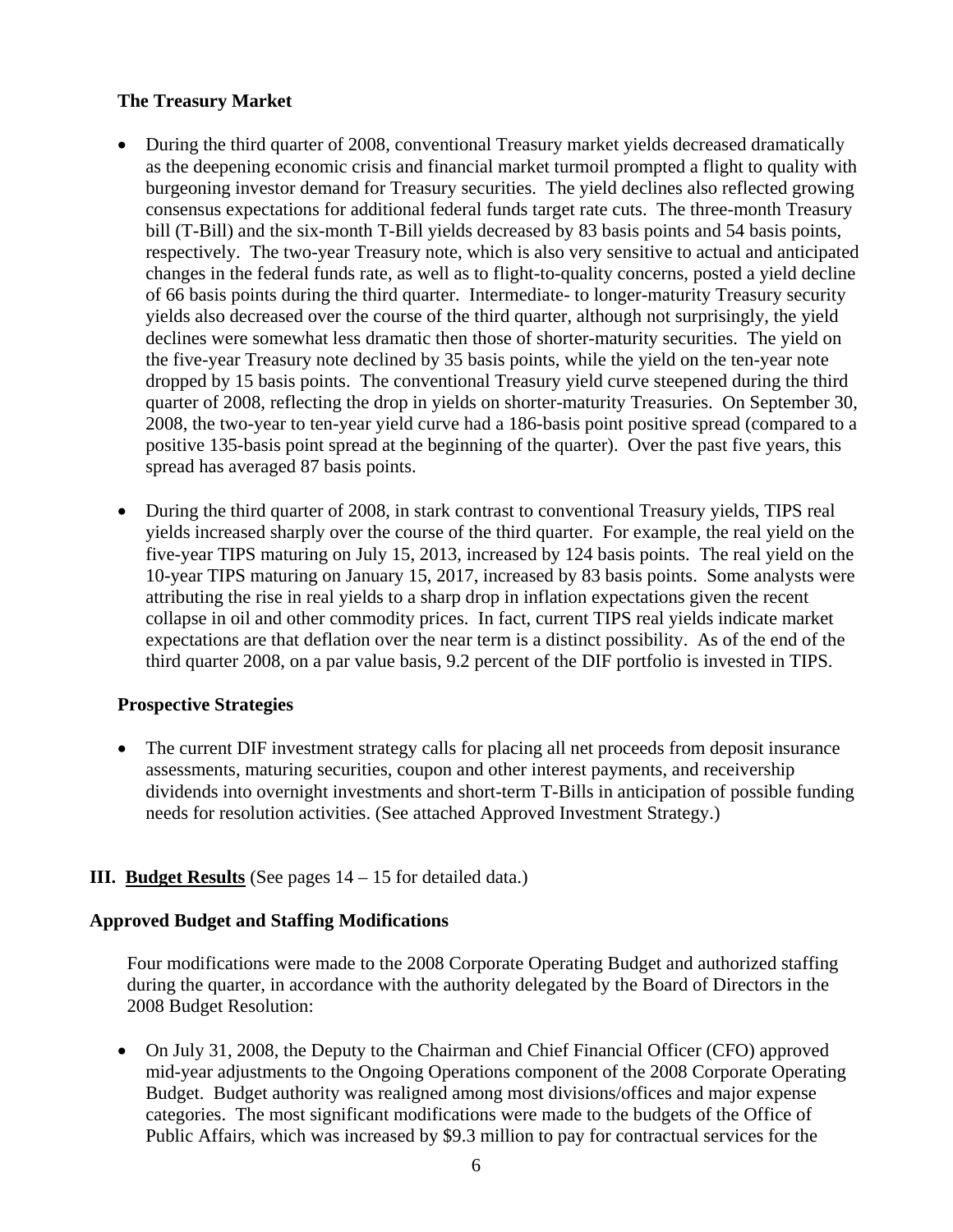#### **The Treasury Market**

- During the third quarter of 2008, conventional Treasury market yields decreased dramatically as the deepening economic crisis and financial market turmoil prompted a flight to quality with burgeoning investor demand for Treasury securities. The yield declines also reflected growing consensus expectations for additional federal funds target rate cuts. The three-month Treasury bill (T-Bill) and the six-month T-Bill yields decreased by 83 basis points and 54 basis points, respectively. The two-year Treasury note, which is also very sensitive to actual and anticipated changes in the federal funds rate, as well as to flight-to-quality concerns, posted a yield decline of 66 basis points during the third quarter. Intermediate- to longer-maturity Treasury security yields also decreased over the course of the third quarter, although not surprisingly, the yield declines were somewhat less dramatic then those of shorter-maturity securities. The yield on the five-year Treasury note declined by 35 basis points, while the yield on the ten-year note dropped by 15 basis points. The conventional Treasury yield curve steepened during the third quarter of 2008, reflecting the drop in yields on shorter-maturity Treasuries. On September 30, 2008, the two-year to ten-year yield curve had a 186-basis point positive spread (compared to a positive 135-basis point spread at the beginning of the quarter). Over the past five years, this spread has averaged 87 basis points.
- During the third quarter of 2008, in stark contrast to conventional Treasury yields, TIPS real yields increased sharply over the course of the third quarter. For example, the real yield on the five-year TIPS maturing on July 15, 2013, increased by 124 basis points. The real yield on the 10-year TIPS maturing on January 15, 2017, increased by 83 basis points. Some analysts were attributing the rise in real yields to a sharp drop in inflation expectations given the recent collapse in oil and other commodity prices. In fact, current TIPS real yields indicate market expectations are that deflation over the near term is a distinct possibility. As of the end of the third quarter 2008, on a par value basis, 9.2 percent of the DIF portfolio is invested in TIPS.

#### **Prospective Strategies**

• The current DIF investment strategy calls for placing all net proceeds from deposit insurance assessments, maturing securities, coupon and other interest payments, and receivership dividends into overnight investments and short-term T-Bills in anticipation of possible funding needs for resolution activities. (See attached Approved Investment Strategy.)

#### **III. Budget Results** (See pages 14 – 15 for detailed data.)

#### **Approved Budget and Staffing Modifications**

Four modifications were made to the 2008 Corporate Operating Budget and authorized staffing during the quarter, in accordance with the authority delegated by the Board of Directors in the 2008 Budget Resolution:

• On July 31, 2008, the Deputy to the Chairman and Chief Financial Officer (CFO) approved mid-year adjustments to the Ongoing Operations component of the 2008 Corporate Operating Budget. Budget authority was realigned among most divisions/offices and major expense categories. The most significant modifications were made to the budgets of the Office of Public Affairs, which was increased by \$9.3 million to pay for contractual services for the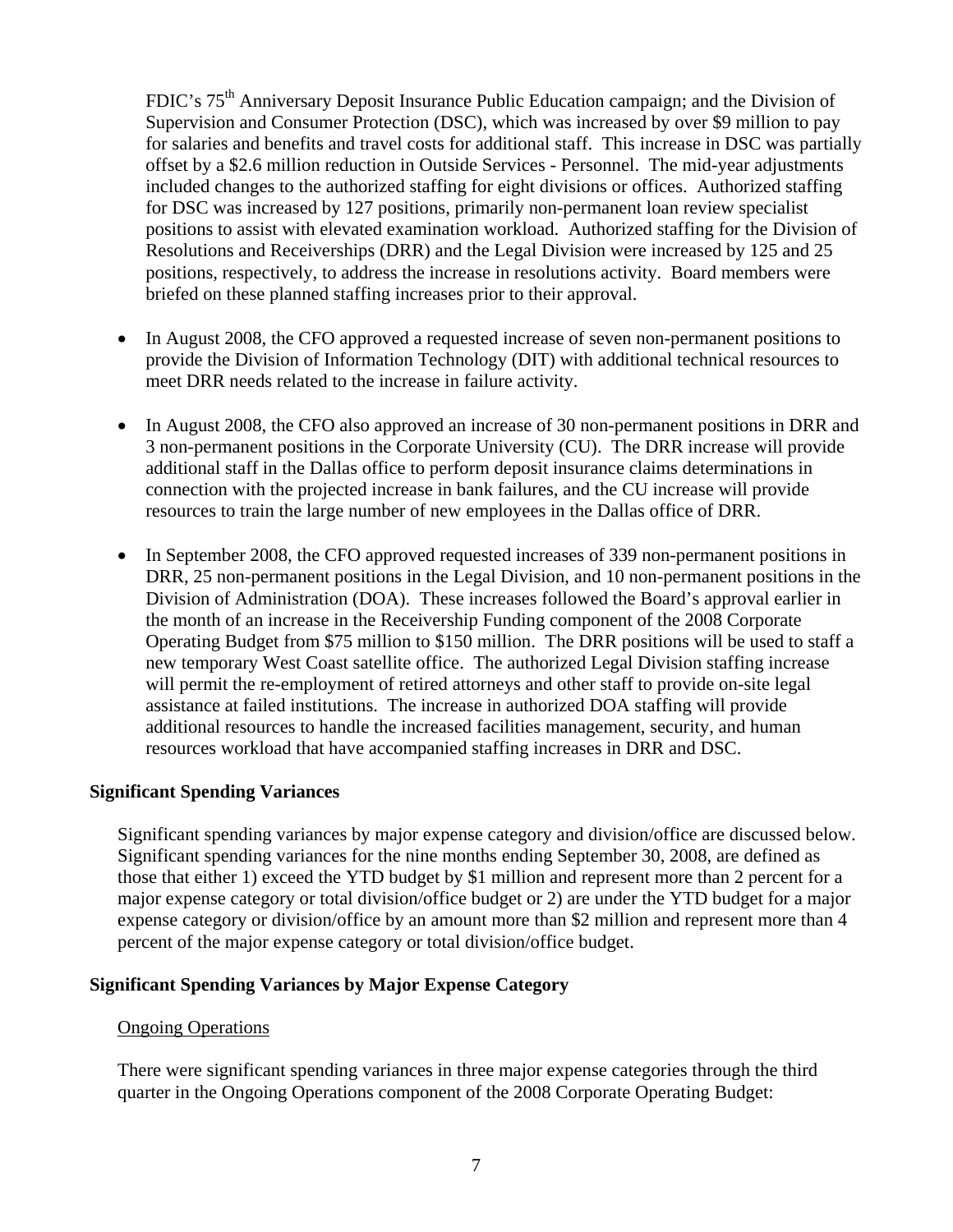FDIC's 75<sup>th</sup> Anniversary Deposit Insurance Public Education campaign; and the Division of Supervision and Consumer Protection (DSC), which was increased by over \$9 million to pay for salaries and benefits and travel costs for additional staff. This increase in DSC was partially offset by a \$2.6 million reduction in Outside Services - Personnel. The mid-year adjustments included changes to the authorized staffing for eight divisions or offices. Authorized staffing for DSC was increased by 127 positions, primarily non-permanent loan review specialist positions to assist with elevated examination workload. Authorized staffing for the Division of Resolutions and Receiverships (DRR) and the Legal Division were increased by 125 and 25 positions, respectively, to address the increase in resolutions activity. Board members were briefed on these planned staffing increases prior to their approval.

- In August 2008, the CFO approved a requested increase of seven non-permanent positions to provide the Division of Information Technology (DIT) with additional technical resources to meet DRR needs related to the increase in failure activity.
- In August 2008, the CFO also approved an increase of 30 non-permanent positions in DRR and 3 non-permanent positions in the Corporate University (CU). The DRR increase will provide additional staff in the Dallas office to perform deposit insurance claims determinations in connection with the projected increase in bank failures, and the CU increase will provide resources to train the large number of new employees in the Dallas office of DRR.
- In September 2008, the CFO approved requested increases of 339 non-permanent positions in DRR, 25 non-permanent positions in the Legal Division, and 10 non-permanent positions in the Division of Administration (DOA). These increases followed the Board's approval earlier in the month of an increase in the Receivership Funding component of the 2008 Corporate Operating Budget from \$75 million to \$150 million. The DRR positions will be used to staff a new temporary West Coast satellite office. The authorized Legal Division staffing increase will permit the re-employment of retired attorneys and other staff to provide on-site legal assistance at failed institutions. The increase in authorized DOA staffing will provide additional resources to handle the increased facilities management, security, and human resources workload that have accompanied staffing increases in DRR and DSC.

#### **Significant Spending Variances**

Significant spending variances by major expense category and division/office are discussed below. Significant spending variances for the nine months ending September 30, 2008, are defined as those that either 1) exceed the YTD budget by \$1 million and represent more than 2 percent for a major expense category or total division/office budget or 2) are under the YTD budget for a major expense category or division/office by an amount more than \$2 million and represent more than 4 percent of the major expense category or total division/office budget.

#### **Significant Spending Variances by Major Expense Category**

#### Ongoing Operations

There were significant spending variances in three major expense categories through the third quarter in the Ongoing Operations component of the 2008 Corporate Operating Budget: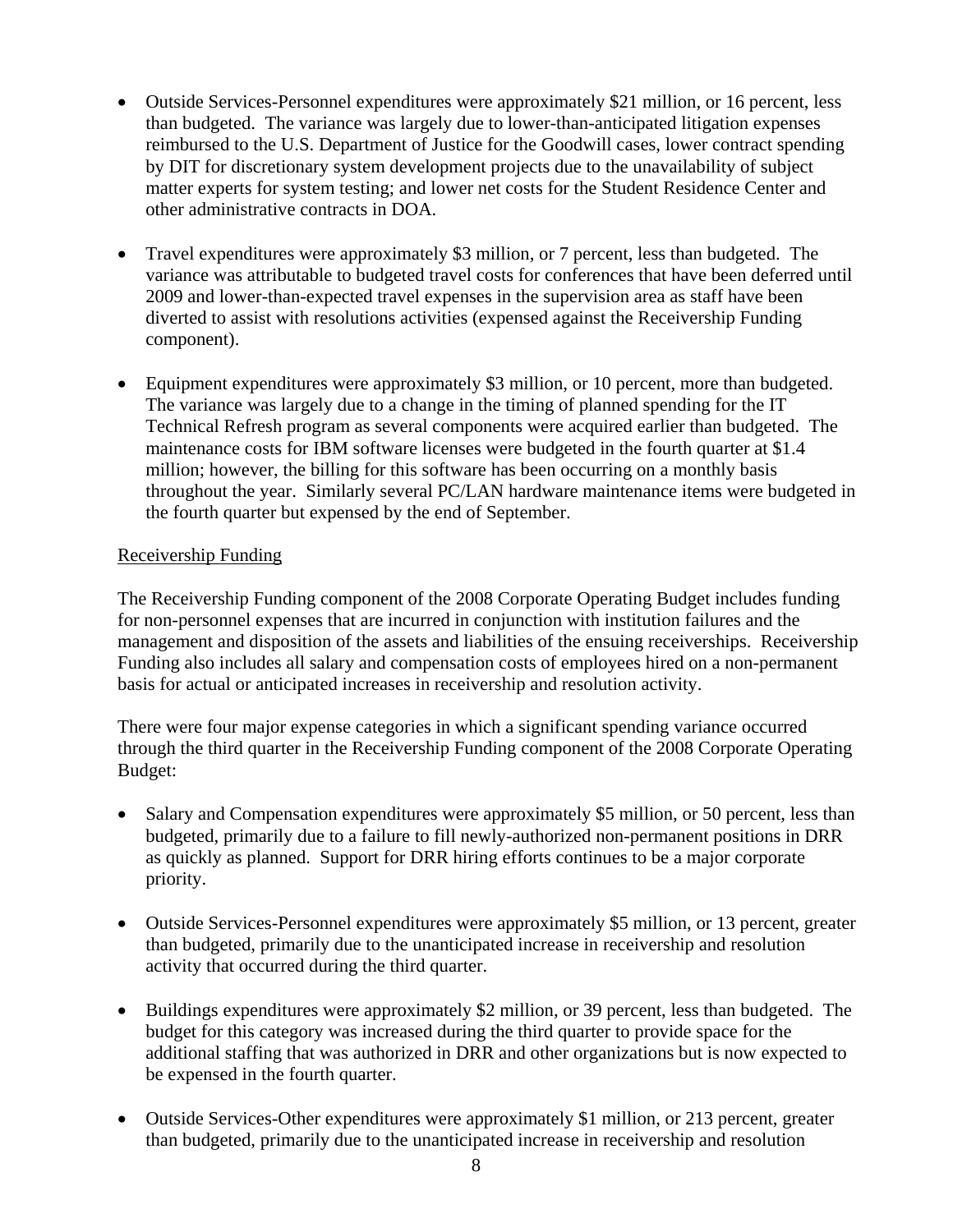- Outside Services-Personnel expenditures were approximately \$21 million, or 16 percent, less than budgeted. The variance was largely due to lower-than-anticipated litigation expenses reimbursed to the U.S. Department of Justice for the Goodwill cases, lower contract spending by DIT for discretionary system development projects due to the unavailability of subject matter experts for system testing; and lower net costs for the Student Residence Center and other administrative contracts in DOA.
- Travel expenditures were approximately \$3 million, or 7 percent, less than budgeted. The variance was attributable to budgeted travel costs for conferences that have been deferred until 2009 and lower-than-expected travel expenses in the supervision area as staff have been diverted to assist with resolutions activities (expensed against the Receivership Funding component).
- Equipment expenditures were approximately \$3 million, or 10 percent, more than budgeted. The variance was largely due to a change in the timing of planned spending for the IT Technical Refresh program as several components were acquired earlier than budgeted. The maintenance costs for IBM software licenses were budgeted in the fourth quarter at \$1.4 million; however, the billing for this software has been occurring on a monthly basis throughout the year. Similarly several PC/LAN hardware maintenance items were budgeted in the fourth quarter but expensed by the end of September.

#### Receivership Funding

The Receivership Funding component of the 2008 Corporate Operating Budget includes funding for non-personnel expenses that are incurred in conjunction with institution failures and the management and disposition of the assets and liabilities of the ensuing receiverships. Receivership Funding also includes all salary and compensation costs of employees hired on a non-permanent basis for actual or anticipated increases in receivership and resolution activity.

There were four major expense categories in which a significant spending variance occurred through the third quarter in the Receivership Funding component of the 2008 Corporate Operating Budget:

- Salary and Compensation expenditures were approximately \$5 million, or 50 percent, less than budgeted, primarily due to a failure to fill newly-authorized non-permanent positions in DRR as quickly as planned. Support for DRR hiring efforts continues to be a major corporate priority.
- Outside Services-Personnel expenditures were approximately \$5 million, or 13 percent, greater than budgeted, primarily due to the unanticipated increase in receivership and resolution activity that occurred during the third quarter.
- Buildings expenditures were approximately \$2 million, or 39 percent, less than budgeted. The budget for this category was increased during the third quarter to provide space for the additional staffing that was authorized in DRR and other organizations but is now expected to be expensed in the fourth quarter.
- Outside Services-Other expenditures were approximately \$1 million, or 213 percent, greater than budgeted, primarily due to the unanticipated increase in receivership and resolution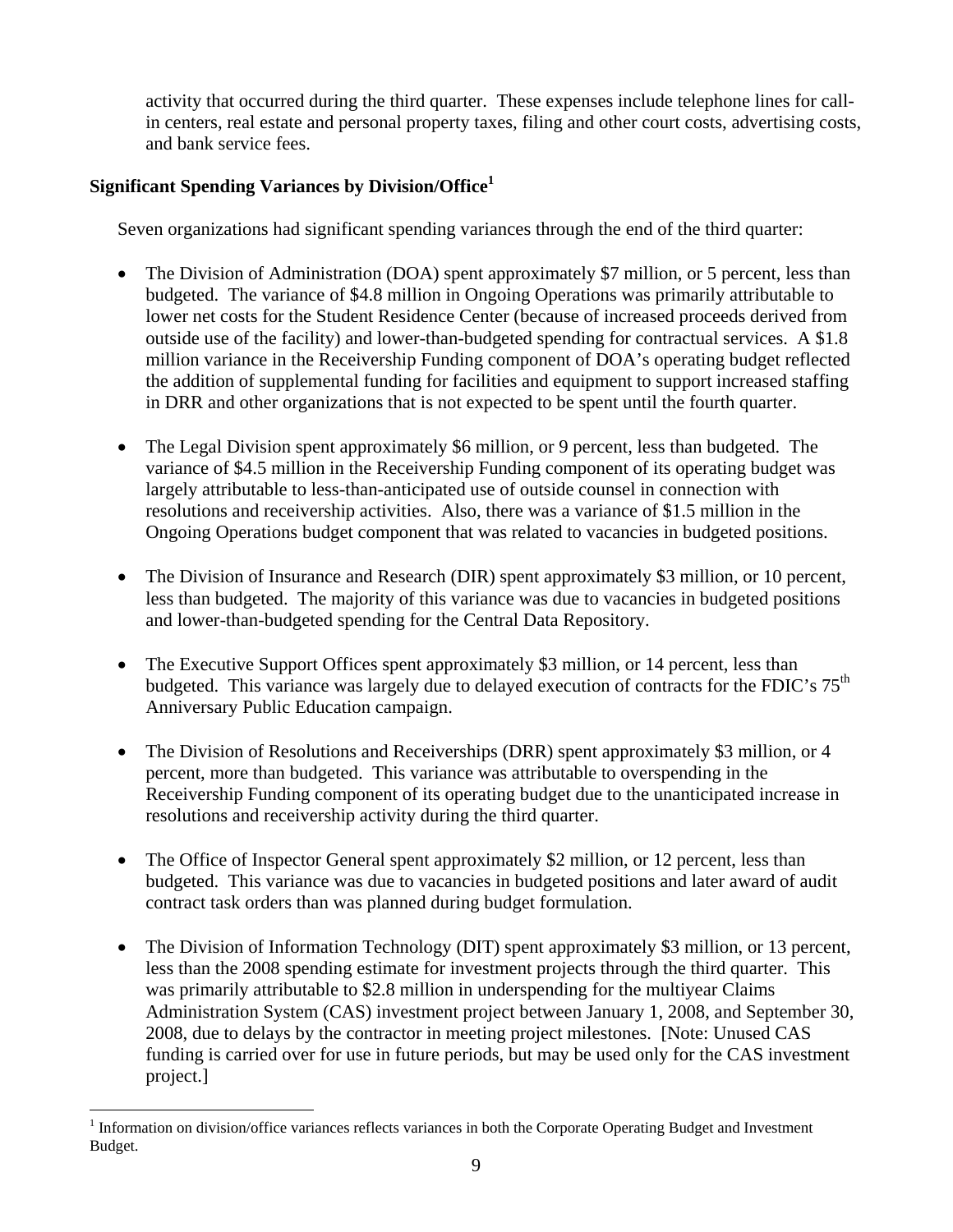activity that occurred during the third quarter. These expenses include telephone lines for callin centers, real estate and personal property taxes, filing and other court costs, advertising costs, and bank service fees.

## **Significant Spending Variances by Division/Office<sup>1</sup>**

Seven organizations had significant spending variances through the end of the third quarter:

- The Division of Administration (DOA) spent approximately \$7 million, or 5 percent, less than budgeted. The variance of \$4.8 million in Ongoing Operations was primarily attributable to lower net costs for the Student Residence Center (because of increased proceeds derived from outside use of the facility) and lower-than-budgeted spending for contractual services. A \$1.8 million variance in the Receivership Funding component of DOA's operating budget reflected the addition of supplemental funding for facilities and equipment to support increased staffing in DRR and other organizations that is not expected to be spent until the fourth quarter.
- The Legal Division spent approximately \$6 million, or 9 percent, less than budgeted. The variance of \$4.5 million in the Receivership Funding component of its operating budget was largely attributable to less-than-anticipated use of outside counsel in connection with resolutions and receivership activities. Also, there was a variance of \$1.5 million in the Ongoing Operations budget component that was related to vacancies in budgeted positions.
- The Division of Insurance and Research (DIR) spent approximately \$3 million, or 10 percent, less than budgeted. The majority of this variance was due to vacancies in budgeted positions and lower-than-budgeted spending for the Central Data Repository.
- The Executive Support Offices spent approximately \$3 million, or 14 percent, less than budgeted. This variance was largely due to delayed execution of contracts for the FDIC's  $75<sup>th</sup>$ Anniversary Public Education campaign.
- The Division of Resolutions and Receiverships (DRR) spent approximately \$3 million, or 4 percent, more than budgeted. This variance was attributable to overspending in the Receivership Funding component of its operating budget due to the unanticipated increase in resolutions and receivership activity during the third quarter.
- The Office of Inspector General spent approximately \$2 million, or 12 percent, less than budgeted. This variance was due to vacancies in budgeted positions and later award of audit contract task orders than was planned during budget formulation.
- The Division of Information Technology (DIT) spent approximately \$3 million, or 13 percent, less than the 2008 spending estimate for investment projects through the third quarter. This was primarily attributable to \$2.8 million in underspending for the multiyear Claims Administration System (CAS) investment project between January 1, 2008, and September 30, 2008, due to delays by the contractor in meeting project milestones. [Note: Unused CAS funding is carried over for use in future periods, but may be used only for the CAS investment project.]

 $\overline{a}$ 

<sup>1</sup> Information on division/office variances reflects variances in both the Corporate Operating Budget and Investment Budget.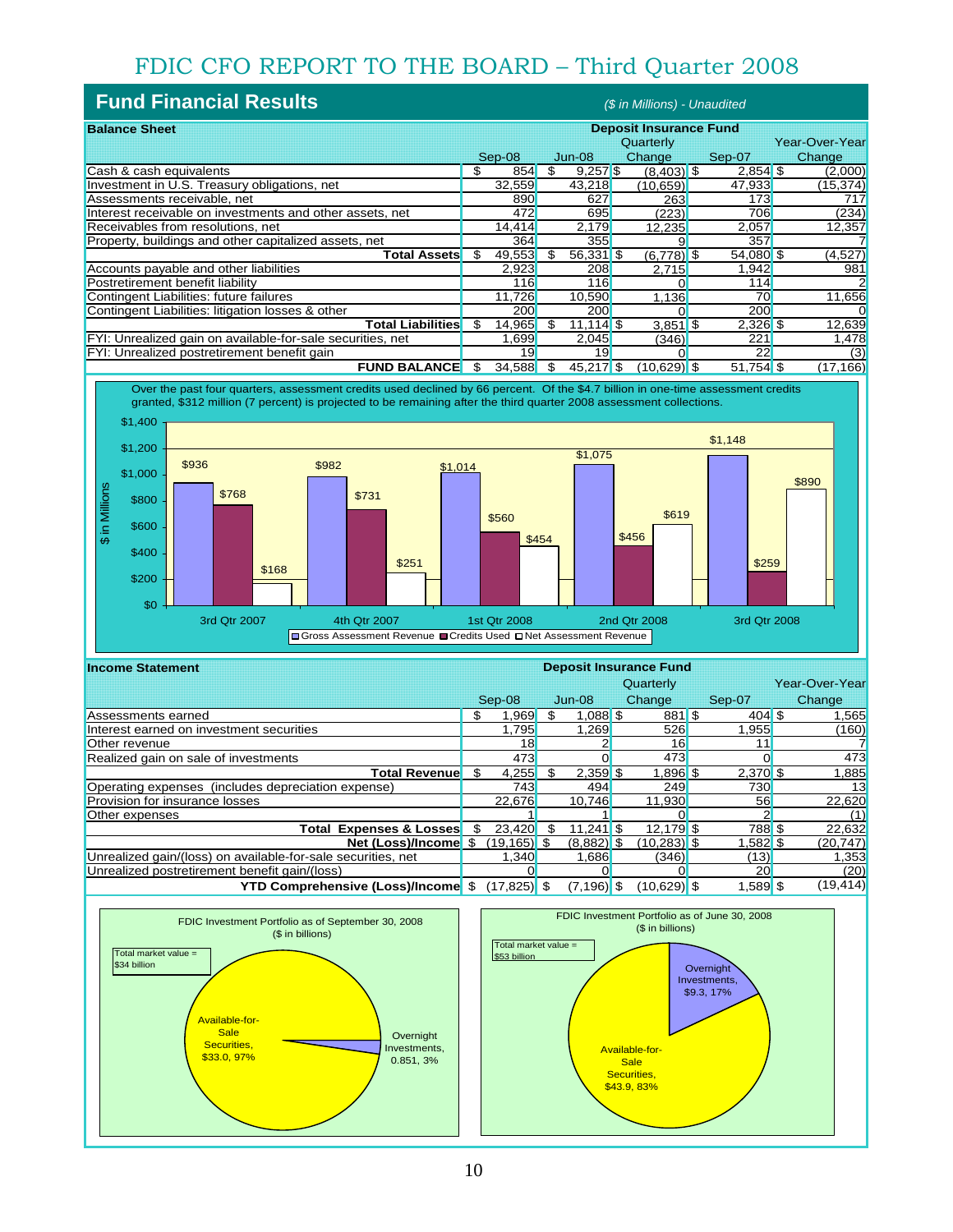# FDIC CFO REPORT TO THE BOARD – Third Quarter 2008

| <b>Fund Financial Results</b><br>(\$ in Millions) - Unaudited |                               |        |     |             |               |            |            |  |                |  |
|---------------------------------------------------------------|-------------------------------|--------|-----|-------------|---------------|------------|------------|--|----------------|--|
| <b>Balance Sheet</b>                                          | <b>Deposit Insurance Fund</b> |        |     |             |               |            |            |  |                |  |
|                                                               |                               |        |     |             | Quarterly     |            |            |  | Year-Over-Year |  |
|                                                               |                               | Sep-08 |     | Jun-08      | Change        |            | Sep-07     |  | Change         |  |
| Cash & cash equivalents                                       | \$                            | 854    | \$  | $9,257$ \$  | $(8,403)$ \$  |            | $2,854$ \$ |  | (2,000)        |  |
| Investment in U.S. Treasury obligations, net                  |                               | 32,559 |     | 43,218      | (10, 659)     |            | 47,933     |  | (15, 374)      |  |
| Assessments receivable, net                                   |                               | 890    |     | 627         |               | 263        | 173        |  | 717            |  |
| Interest receivable on investments and other assets, net      |                               | 472    |     | 695         |               | (223)      | 706        |  | (234)          |  |
| Receivables from resolutions, net                             |                               | 14,414 |     | 2,179       | 12,235        |            | 2.057      |  | 12,357         |  |
| Property, buildings and other capitalized assets, net         |                               | 364    |     | 355         |               |            | 357        |  |                |  |
| Total Assets                                                  | S                             | 49,553 | \$. | $56,331$ \$ | $(6,778)$ \$  |            | 54,080 \$  |  | (4,527)        |  |
| Accounts payable and other liabilities                        |                               | 2,923  |     | 208         | 2,715         |            | 1,942      |  | 981            |  |
| Postretirement benefit liability                              |                               | 116    |     | 116         |               |            | 114        |  |                |  |
| Contingent Liabilities: future failures                       |                               | 11,726 |     | 10,590      |               | 1.136      | 70         |  | 11,656         |  |
| Contingent Liabilities: litigation losses & other             |                               | 200    |     | 200         |               |            | 200        |  |                |  |
| Total Liabilities <mark>l</mark>                              | \$.                           | 14,965 | \$. | $11,114$ \$ |               | $3,851$ \$ | $2,326$ \$ |  | 12,639         |  |
| FYI: Unrealized gain on available-for-sale securities, net    |                               | 1,699  |     | 2,045       |               | (346)      | 221        |  | 1,478          |  |
| FYI: Unrealized postretirement benefit gain                   |                               | 19     |     | 19          |               |            | 22         |  | (3)            |  |
| <b>FUND BALANCE</b>                                           | \$                            | 34.588 | \$  | 45.217 \$   | $(10.629)$ \$ |            | 51,754 \$  |  | (17, 166)      |  |

Over the past four quarters, assessment credits used declined by 66 percent. Of the \$4.7 billion in one-time assessment credits granted, \$312 million (7 percent) is projected to be remaining after the third quarter 2008 assessment collections.



| <b>Income Statement</b>                                      | <b>Deposit Insurance Fund</b> |                |    |               |  |                |  |            |  |                |
|--------------------------------------------------------------|-------------------------------|----------------|----|---------------|--|----------------|--|------------|--|----------------|
|                                                              |                               |                |    |               |  | Quarterly      |  |            |  | Year-Over-Year |
|                                                              |                               | Sep-08         |    | $Jun-08$      |  | Change         |  | Sep-07     |  | Change         |
| Assessments earned                                           | S                             | .969           |    | $1,088$ \$    |  | $881$ \$       |  | $404$ \$   |  | 1,565          |
| Interest earned on investment securities                     |                               | 1,795          |    | 1,269         |  | 526            |  | .955       |  | (160)          |
| Other revenue                                                |                               | 18             |    |               |  | 16             |  | 11         |  |                |
| Realized gain on sale of investments                         |                               | 473            |    |               |  | 473            |  |            |  | 473            |
| Total Revenue <mark>l</mark>                                 | S                             | 4,255          |    | $2,359$ \$    |  | $1,896$ \$     |  | $2,370$ \$ |  | 1,885          |
| Operating expenses (includes depreciation expense)           |                               | 743            |    | 494           |  | 249            |  | 730        |  | 13             |
| <b>Provision for insurance losses</b>                        |                               | 22,676         |    | 10.746        |  | 11,930         |  | 56         |  | 22,620         |
| Other expenses                                               |                               |                |    |               |  |                |  |            |  | (1)            |
| <b>Expenses &amp; Losses</b><br>Total                        | \$.                           | 23,420         | -S | $11,241$ \$   |  | $12.179$ \$    |  | 788 \$     |  | 22,632         |
| Net (Loss)/Income \$                                         |                               | (19,165) \$    |    | $(8,882)$ \$  |  | $(10, 283)$ \$ |  | $.582$ \$  |  | (20, 747)      |
| Unrealized gain/(loss) on available-for-sale securities, net |                               | 1,340          |    | 1,686         |  | (346)          |  | (13)       |  | 1,353          |
| Unrealized postretirement benefit gain/(loss)                |                               |                |    |               |  |                |  | 20         |  | (20)           |
| <b>YTD Comprehensive (Loss)/Income</b> \$                    |                               | $(17, 825)$ \$ |    | $(7, 196)$ \$ |  | $(10.629)$ \$  |  | $.589$ \$  |  | (19, 414)      |



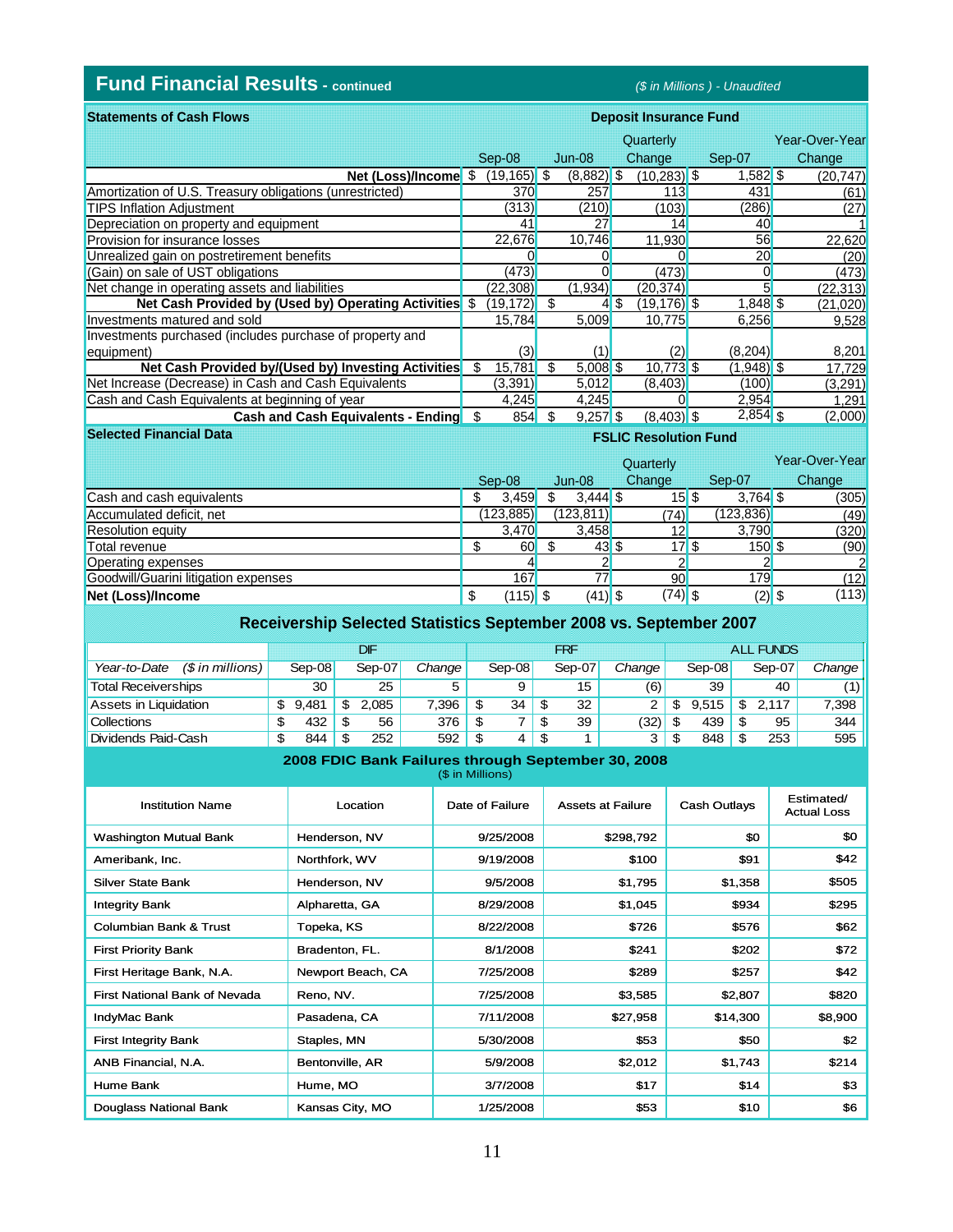## **Fund Financial Results - continued** *(\$ in Millions ) - Unaudited*

**Deposit Insurance Fund**

**FSLIC Resolution Fund**

| <b>Statements of Cash Flows</b>                          | <b>Deposit Insurance Fund</b> |                |    |              |    |                              |  |              |  |                |
|----------------------------------------------------------|-------------------------------|----------------|----|--------------|----|------------------------------|--|--------------|--|----------------|
|                                                          |                               |                |    |              |    | Quarterly                    |  |              |  | Year-Over-Year |
|                                                          |                               | Sep-08         |    | $Jun-08$     |    | Change                       |  | Sep-07       |  | Change         |
| Net (Loss)/Income $$$                                    |                               | $(19, 165)$ \$ |    | $(8,882)$ \$ |    | $(10, 283)$ \$               |  | $1,582$ \$   |  | (20, 747)      |
| Amortization of U.S. Treasury obligations (unrestricted) |                               | 370            |    | 257          |    | 113                          |  | 431          |  | (61)           |
| <b>TIPS Inflation Adjustment</b>                         |                               | (313)          |    | (210)        |    | (103)                        |  | (286)        |  | (27)           |
| Depreciation on property and equipment                   |                               | 41             |    | 27           |    | 14                           |  | 40           |  |                |
| <b>Provision for insurance losses</b>                    |                               | 22,676         |    | 10.746       |    | 11.930                       |  | 56           |  | 22,620         |
| Unrealized gain on postretirement benefits               |                               |                |    |              |    |                              |  | 20           |  | (20)           |
| (Gain) on sale of UST obligations                        |                               | (473)          |    |              |    | (473)                        |  |              |  | (473)          |
| Net change in operating assets and liabilities           |                               | (22, 308)      |    | (1,934)      |    | (20, 374)                    |  |              |  | (22, 313)      |
| Net Cash Provided by (Used by) Operating Activities \$   |                               | (19,172)       | -S |              | 4S | $(19, 176)$ \$               |  | $1,848$ \$   |  | (21,020)       |
| Investments matured and sold                             |                               | 15,784         |    | 5,009        |    | 10,775                       |  | 6,256        |  | 9,528          |
| Investments purchased (includes purchase of property and |                               |                |    |              |    |                              |  |              |  |                |
| equipment)                                               |                               | (3)            |    | (1)          |    | (2)                          |  | (8,204)      |  | 8,201          |
| Net Cash Provided by/(Used by) Investing Activities      | S                             | 15,781         | S  | $5,008$ \$   |    | $10.773$ \$                  |  | $(1,948)$ \$ |  | 17,729         |
| Net Increase (Decrease) in Cash and Cash Equivalents     |                               | (3,391)        |    | 5.012        |    | (8,403)                      |  | (100)        |  | (3,291)        |
| Cash and Cash Equivalents at beginning of year           |                               | 4,245          |    | 4,245        |    |                              |  | 2,954        |  | 1,291          |
| Cash and Cash Equivalents - Ending \$                    |                               | 854            | \$ | $9,257$ \$   |    | $(8,403)$ \$                 |  | $2,854$ \$   |  | (2,000)        |
| <b>Selected Financial Data</b>                           |                               |                |    |              |    | <b>FSLIC Resolution Fund</b> |  |              |  |                |

|                                      |        |            |            | Quarterly |           |            | Year-Over-Year |
|--------------------------------------|--------|------------|------------|-----------|-----------|------------|----------------|
|                                      | Sep-08 |            | $Jun-08$   | Change    |           | Sep-07     | Change         |
| Cash and cash equivalents            |        | 3.459      | $3.444$ \$ |           | 15S       | $3,764$ \$ | (305)          |
| Accumulated deficit, net             |        | (123, 885) | (123, 811) |           | (74)      | (123, 836) | (49)           |
| <b>Resolution equity</b>             |        | 3,470      | 3.458      |           | 12        | 3.790      | (320)          |
| Total revenue                        |        | 60         | 43S        |           |           | $150$ \$   | (90)           |
| Operating expenses                   |        |            |            |           |           |            |                |
| Goodwill/Guarini litigation expenses |        | 167        |            |           | 90        | 179        | (12)           |
| Net (Loss)/Income                    |        | $(115)$ \$ | $(41)$ \$  |           | $(74)$ \$ | $(2)$ \$   | (113)          |

| Receivership Selected Statistics September 2008 vs. September 2007 |    |          |     |        |        |      |          |      |        |        |      |                  |    |          |        |  |
|--------------------------------------------------------------------|----|----------|-----|--------|--------|------|----------|------|--------|--------|------|------------------|----|----------|--------|--|
|                                                                    |    |          |     | DIF    |        | FRF  |          |      |        |        |      | <b>ALL FUNDS</b> |    |          |        |  |
| $(S \text{ in millions})$<br>Year-to-Date                          |    | $Sen-08$ |     | Sep-07 | Change |      | $Sen-08$ |      | Sep-07 | Change |      | Sep-08           |    | $Sep-07$ | Change |  |
| <b>Total Receiverships</b>                                         |    | 30       |     | 25     | 5      |      | 9        |      | 15     | (6)    |      | 39               |    | 40       | (1)    |  |
| Assets in Liquidation                                              | S  | 9.481    | S   | 2.085  | 7.396  | -S   | 34       | -\$  | 32     | 2      | S    | 9.515            | \$ | 2.117    | 7.398  |  |
| <b>Collections</b>                                                 | S  | 432      | \$. | 56     | 376    | - \$ |          | -SS  | 39     | (32)   | - \$ | 439              |    | 95       | 344    |  |
| Dividends Paid-Cash                                                | \$ | 844      | \$. | 252    | 592    | - \$ | 4        | - \$ |        | 3      | - \$ | 848              |    | 253      | 595    |  |

#### **2008 FDIC Bank Failures through September 30, 2008**

(\$ in Millions)

| <b>Institution Name</b>           | Location          | Date of Failure | <b>Assets at Failure</b> | Cash Outlays | Estimated/<br><b>Actual Loss</b> |
|-----------------------------------|-------------------|-----------------|--------------------------|--------------|----------------------------------|
| <b>Washington Mutual Bank</b>     | Henderson, NV     | 9/25/2008       | \$298,792                | \$0          | \$0                              |
| Ameribank, Inc.                   | Northfork, WV     | 9/19/2008       | \$100                    | \$91         | \$42                             |
| Silver State Bank                 | Henderson, NV     | 9/5/2008        | \$1,795                  | \$1,358      | \$505                            |
| <b>Integrity Bank</b>             | Alpharetta, GA    | 8/29/2008       | \$1,045                  | \$934        | \$295                            |
| <b>Columbian Bank &amp; Trust</b> | Topeka, KS        | 8/22/2008       | \$726                    | \$576        | \$62                             |
| <b>First Priority Bank</b>        | Bradenton, FL.    | 8/1/2008        | \$241                    | \$202        | \$72                             |
| First Heritage Bank, N.A.         | Newport Beach, CA | 7/25/2008       | \$289                    | \$257        | \$42                             |
| First National Bank of Nevada     | Reno, NV.         | 7/25/2008       | \$3,585                  | \$2,807      | \$820                            |
| IndyMac Bank                      | Pasadena, CA      | 7/11/2008       | \$27,958                 | \$14,300     | \$8,900                          |
| <b>First Integrity Bank</b>       | Staples, MN       | 5/30/2008       | \$53                     | \$50         | \$2                              |
| ANB Financial, N.A.               | Bentonville, AR   | 5/9/2008        | \$2,012                  | \$1,743      | \$214                            |
| Hume Bank                         | Hume, MO          | 3/7/2008        | \$17                     | \$14         | \$3                              |
| Douglass National Bank            | Kansas City, MO   | 1/25/2008       | \$53                     | \$10         | \$6                              |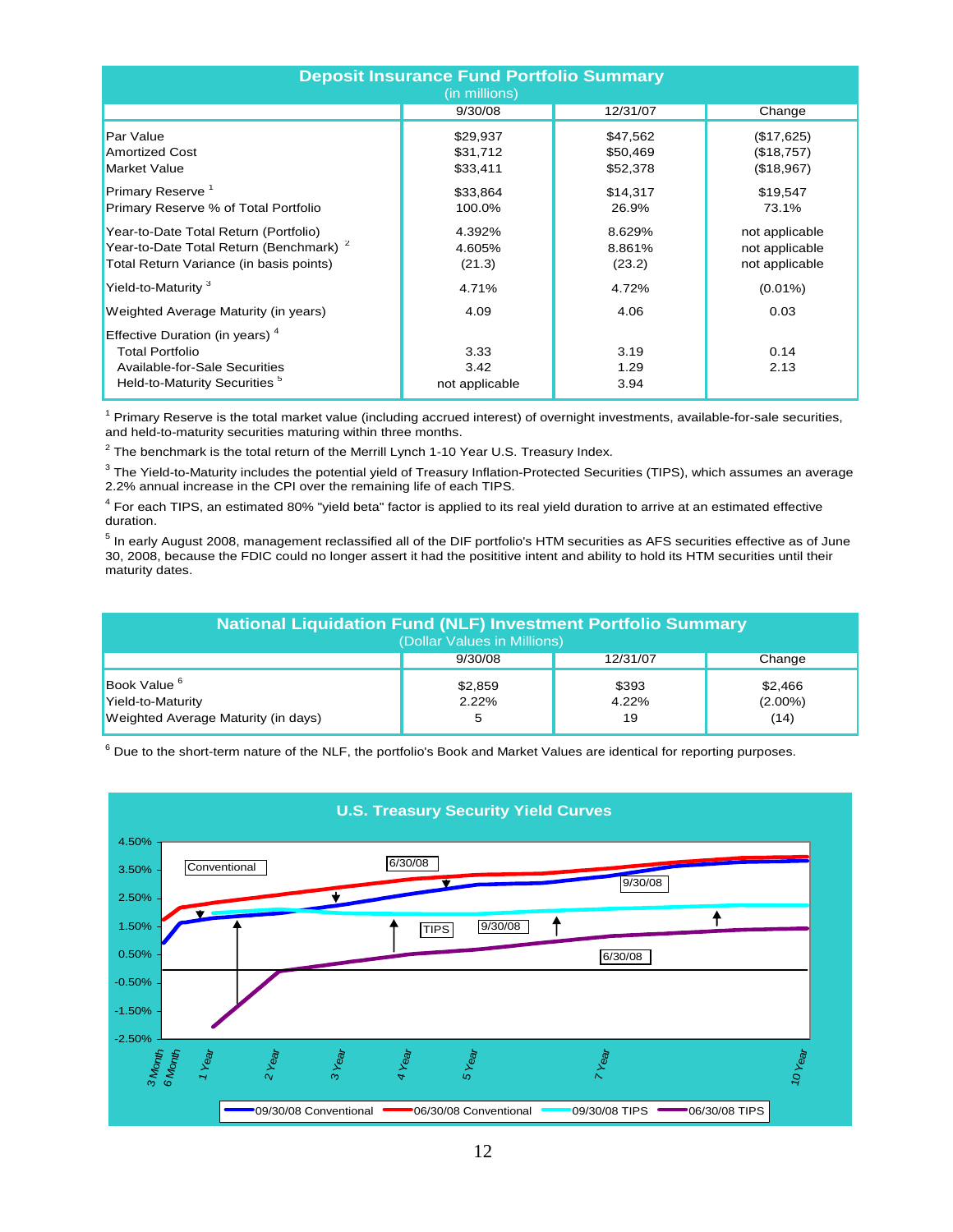| <b>Deposit Insurance Fund Portfolio Summary</b><br>(in millions)                                                                       |                                  |                                  |                                                    |  |  |  |  |  |  |  |
|----------------------------------------------------------------------------------------------------------------------------------------|----------------------------------|----------------------------------|----------------------------------------------------|--|--|--|--|--|--|--|
|                                                                                                                                        | 9/30/08                          | 12/31/07                         | Change                                             |  |  |  |  |  |  |  |
| Par Value<br><b>Amortized Cost</b><br><b>Market Value</b>                                                                              | \$29,937<br>\$31,712<br>\$33,411 | \$47,562<br>\$50,469<br>\$52,378 | (\$17,625)<br>(\$18,757)<br>(\$18,967)             |  |  |  |  |  |  |  |
| Primary Reserve <sup>1</sup><br>Primary Reserve % of Total Portfolio                                                                   | \$33,864<br>100.0%               | \$14,317<br>26.9%                | \$19,547<br>73.1%                                  |  |  |  |  |  |  |  |
| Year-to-Date Total Return (Portfolio)<br>Year-to-Date Total Return (Benchmark) <sup>2</sup><br>Total Return Variance (in basis points) | 4.392%<br>4.605%<br>(21.3)       | 8.629%<br>8.861%<br>(23.2)       | not applicable<br>not applicable<br>not applicable |  |  |  |  |  |  |  |
| Yield-to-Maturity <sup>3</sup>                                                                                                         | 4.71%                            | 4.72%                            | $(0.01\%)$                                         |  |  |  |  |  |  |  |
| Weighted Average Maturity (in years)<br>Effective Duration (in years) <sup>4</sup>                                                     | 4.09                             | 4.06                             | 0.03                                               |  |  |  |  |  |  |  |
| <b>Total Portfolio</b><br>Available-for-Sale Securities<br>Held-to-Maturity Securities <sup>5</sup>                                    | 3.33<br>3.42<br>not applicable   | 3.19<br>1.29<br>3.94             | 0.14<br>2.13                                       |  |  |  |  |  |  |  |

<sup>1</sup> Primary Reserve is the total market value (including accrued interest) of overnight investments, available-for-sale securities, and held-to-maturity securities maturing within three months.

 $^2$  The benchmark is the total return of the Merrill Lynch 1-10 Year U.S. Treasury Index.

 $3$  The Yield-to-Maturity includes the potential yield of Treasury Inflation-Protected Securities (TIPS), which assumes an average 2.2% annual increase in the CPI over the remaining life of each TIPS.

<sup>4</sup> For each TIPS, an estimated 80% "yield beta" factor is applied to its real yield duration to arrive at an estimated effective duration.

 $^5$  In early August 2008, management reclassified all of the DIF portfolio's HTM securities as AFS securities effective as of June 30, 2008, because the FDIC could no longer assert it had the posititive intent and ability to hold its HTM securities until their maturity dates.

| <b>National Liquidation Fund (NLF) Investment Portfolio Summary</b><br>(Dollar Values in Millions) |                  |                      |                               |  |  |  |  |  |  |
|----------------------------------------------------------------------------------------------------|------------------|----------------------|-------------------------------|--|--|--|--|--|--|
|                                                                                                    | 9/30/08          | 12/31/07             | Change                        |  |  |  |  |  |  |
| Book Value <sup>6</sup><br>Yield-to-Maturity<br>Weighted Average Maturity (in days)                | \$2,859<br>2.22% | \$393<br>4.22%<br>19 | \$2,466<br>$(2.00\%)$<br>(14) |  |  |  |  |  |  |

 $^6$  Due to the short-term nature of the NLF, the portfolio's Book and Market Values are identical for reporting purposes.

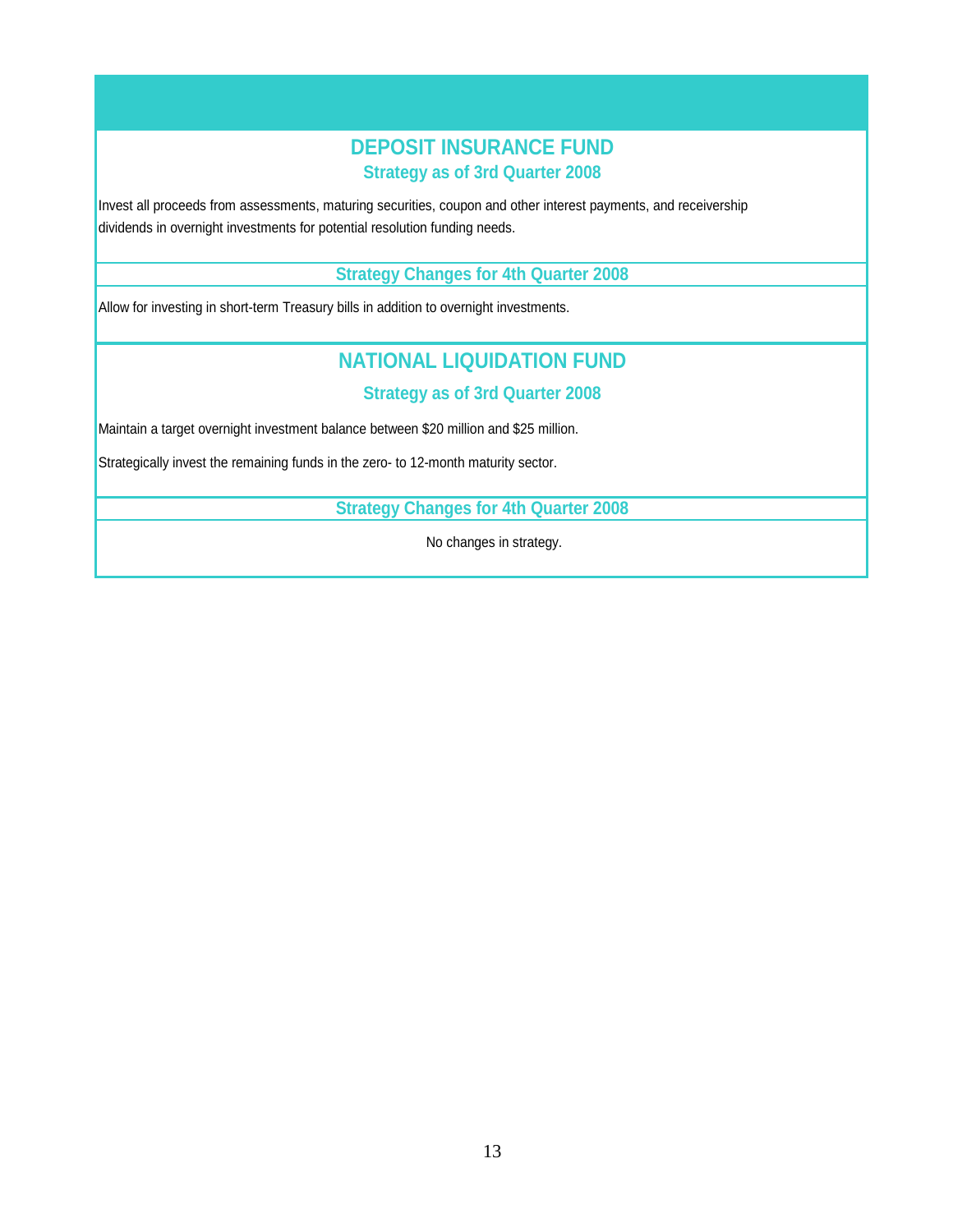## **Strategy as of 3rd Quarter 2008 DEPOSIT INSURANCE FUND**

dividends in overnight investments for potential resolution funding needs. Invest all proceeds from assessments, maturing securities, coupon and other interest payments, and receivership

#### **Strategy Changes for 4th Quarter 2008**

Allow for investing in short-term Treasury bills in addition to overnight investments.

## **NATIONAL LIQUIDATION FUND**

#### **Strategy as of 3rd Quarter 2008**

Maintain a target overnight investment balance between \$20 million and \$25 million.

Strategically invest the remaining funds in the zero- to 12-month maturity sector.

**Strategy Changes for 4th Quarter 2008**

No changes in strategy.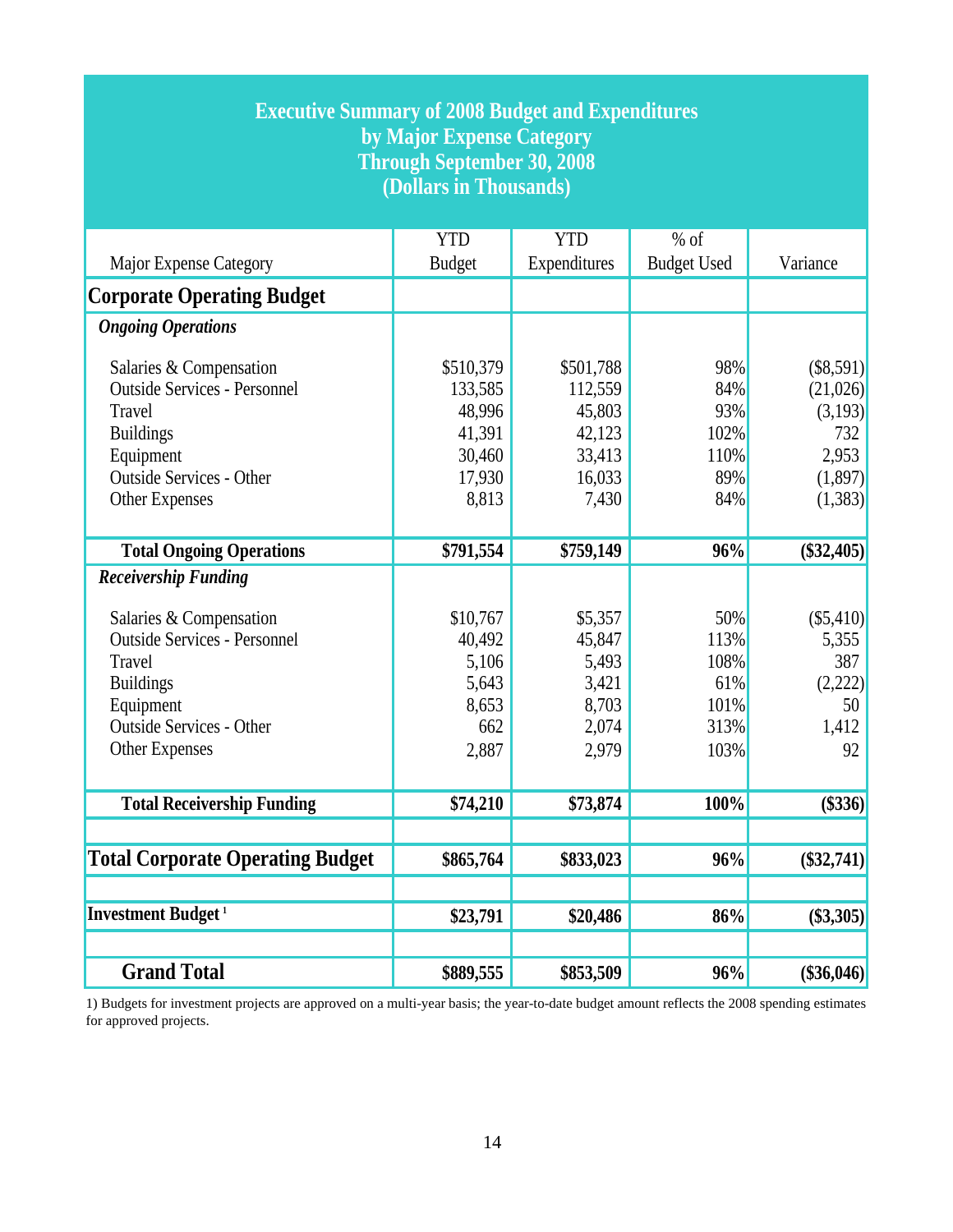| <b>Executive Summary of 2008 Budget and Expenditures</b><br>by Major Expense Category<br><b>Through September 30, 2008</b><br>(Dollars in Thousands)                  |                                                                       |                                                                       |                                                    |                                                                        |  |  |
|-----------------------------------------------------------------------------------------------------------------------------------------------------------------------|-----------------------------------------------------------------------|-----------------------------------------------------------------------|----------------------------------------------------|------------------------------------------------------------------------|--|--|
| Major Expense Category                                                                                                                                                | <b>YTD</b><br><b>Budget</b>                                           | <b>YTD</b><br>Expenditures                                            | $%$ of<br><b>Budget Used</b>                       | Variance                                                               |  |  |
| <b>Corporate Operating Budget</b>                                                                                                                                     |                                                                       |                                                                       |                                                    |                                                                        |  |  |
| <b>Ongoing Operations</b>                                                                                                                                             |                                                                       |                                                                       |                                                    |                                                                        |  |  |
| Salaries & Compensation<br><b>Outside Services - Personnel</b><br>Travel<br><b>Buildings</b><br>Equipment<br><b>Outside Services - Other</b><br><b>Other Expenses</b> | \$510,379<br>133,585<br>48,996<br>41,391<br>30,460<br>17,930<br>8,813 | \$501,788<br>112,559<br>45,803<br>42,123<br>33,413<br>16,033<br>7,430 | 98%<br>84%<br>93%<br>102%<br>110%<br>89%<br>84%    | (\$8,591)<br>(21,026)<br>(3,193)<br>732<br>2,953<br>(1,897)<br>(1,383) |  |  |
| <b>Total Ongoing Operations</b>                                                                                                                                       | \$791,554                                                             | \$759,149                                                             | 96%                                                | $(\$32,405)$                                                           |  |  |
| <b>Receivership Funding</b>                                                                                                                                           |                                                                       |                                                                       |                                                    |                                                                        |  |  |
| Salaries & Compensation<br><b>Outside Services - Personnel</b><br>Travel<br><b>Buildings</b><br>Equipment<br><b>Outside Services - Other</b><br><b>Other Expenses</b> | \$10,767<br>40,492<br>5,106<br>5,643<br>8,653<br>662<br>2,887         | \$5,357<br>45,847<br>5,493<br>3,421<br>8,703<br>2,074<br>2,979        | 50%<br>113%<br>108%<br>61%<br>101%<br>313%<br>103% | (\$5,410)<br>5,355<br>387<br>(2,222)<br>50<br>1,412<br>92              |  |  |
| <b>Total Receivership Funding</b>                                                                                                                                     | \$74,210                                                              | \$73,874                                                              | 100%                                               | $($ \$336)                                                             |  |  |
| <b>Total Corporate Operating Budget</b>                                                                                                                               | \$865,764                                                             | \$833,023                                                             | 96%                                                | $(\$32,741)$                                                           |  |  |
| <b>Investment Budget</b> <sup>1</sup>                                                                                                                                 | \$23,791                                                              | \$20,486                                                              | 86%                                                | $(\$3,305)$                                                            |  |  |
| <b>Grand Total</b>                                                                                                                                                    | \$889,555                                                             | \$853,509                                                             | 96%                                                | $(\$36,046)$                                                           |  |  |

1) Budgets for investment projects are approved on a multi-year basis; the year-to-date budget amount reflects the 2008 spending estimates for approved projects.